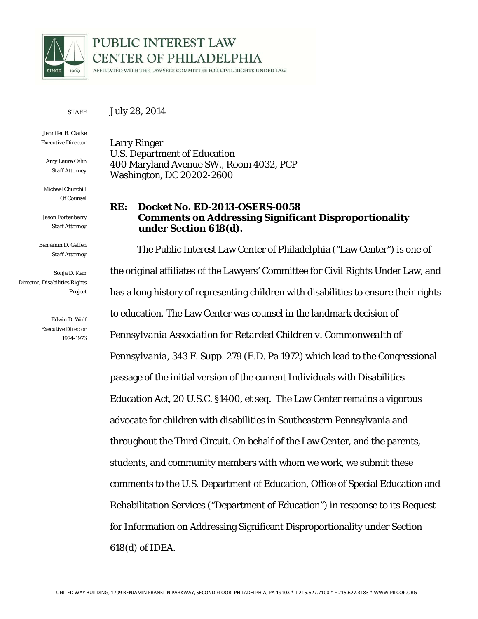

# PUBLIC INTEREST LAW **CENTER OF PHILADELPHIA**

AFFILIATED WITH THE LAWYERS COMMITTEE FOR CIVIL RIGHTS UNDER LAW

**STAFF** July 28, 2014

Jennifer R. Clarke *Executive Director* 

Amy Laura Cahn *Staff Attorney*

Michael Churchill *Of Counsel* 

Jason Fortenberry *Staff Attorney* 

Benjamin D. Geffen *Staff Attorney* 

Sonja D. Kerr *Director, Disabilities Rights Project* 

> Edwin D. Wolf *Executive Director 1974-1976*

Larry Ringer U.S. Department of Education 400 Maryland Avenue SW., Room 4032, PCP Washington, DC 20202-2600

### **RE: Docket No. ED-2013-OSERS-0058 Comments on Addressing Significant Disproportionality under Section 618(d).**

 The Public Interest Law Center of Philadelphia ("Law Center") is one of the original affiliates of the Lawyers' Committee for Civil Rights Under Law, and has a long history of representing children with disabilities to ensure their rights to education. The Law Center was counsel in the landmark decision of *Pennsylvania Association for Retarded Children v. Commonwealth of Pennsylvania*, 343 F. Supp. 279 (E.D. Pa 1972) which lead to the Congressional passage of the initial version of the current Individuals with Disabilities Education Act, 20 U.S.C. §1400, et seq. The Law Center remains a vigorous advocate for children with disabilities in Southeastern Pennsylvania and throughout the Third Circuit. On behalf of the Law Center, and the parents, students, and community members with whom we work, we submit these comments to the U.S. Department of Education, Office of Special Education and Rehabilitation Services ("Department of Education") in response to its Request for Information on Addressing Significant Disproportionality under Section 618(d) of IDEA.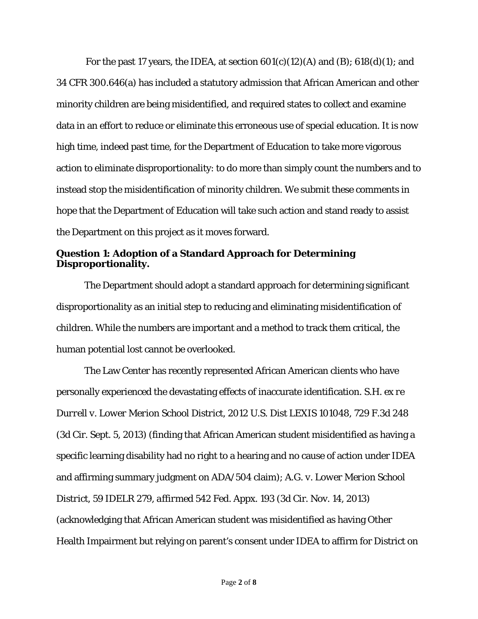For the past 17 years, the IDEA, at section  $601(c)(12)(A)$  and  $(B)$ ;  $618(d)(1)$ ; and 34 CFR 300.646(a) has included a statutory admission that African American and other minority children are being misidentified, and required states to collect and examine data in an effort to reduce or eliminate this erroneous use of special education. It is now high time, indeed past time, for the Department of Education to take more vigorous action to eliminate disproportionality: to do more than simply count the numbers and to instead stop the misidentification of minority children. We submit these comments in hope that the Department of Education will take such action and stand ready to assist the Department on this project as it moves forward.

#### **Question 1: Adoption of a Standard Approach for Determining Disproportionality.**

 The Department should adopt a standard approach for determining significant disproportionality as an initial step to reducing and eliminating misidentification of children. While the numbers are important and a method to track them critical, the human potential lost cannot be overlooked.

The Law Center has recently represented African American clients who have personally experienced the devastating effects of inaccurate identification. *S.H. ex re Durrell v. Lower Merion School District*, 2012 U.S. Dist LEXIS 101048, 729 F.3d 248 (3d Cir. Sept. 5, 2013) (finding that African American student misidentified as having a specific learning disability had no right to a hearing and no cause of action under IDEA and affirming summary judgment on ADA/504 claim); *A.G. v. Lower Merion School District*, 59 IDELR 279, *affirmed* 542 Fed. Appx. 193 (3d Cir. Nov. 14, 2013) (acknowledging that African American student was misidentified as having Other Health Impairment but relying on parent's consent under IDEA to affirm for District on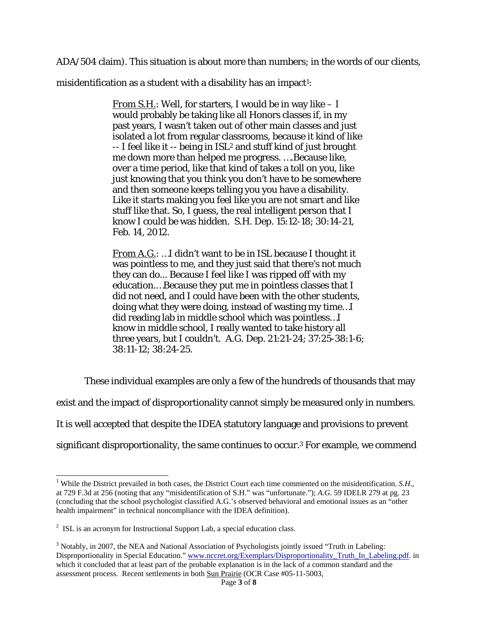ADA/504 claim). This situation is about more than numbers; in the words of our clients,

misidentification as a student with a disability has an impact<sup>1</sup>:

*From S.H.*: Well, for starters, I would be in way like – I would probably be taking like all Honors classes if, in my past years, I wasn't taken out of other main classes and just isolated a lot from regular classrooms, because it kind of like  $-$  I feel like it  $-$  being in ISL<sup>2</sup> and stuff kind of just brought me down more than helped me progress. ….Because like, over a time period, like that kind of takes a toll on you, like just knowing that you think you don't have to be somewhere and then someone keeps telling you you have a disability. Like it starts making you feel like you are not smart and like stuff like that. So, I guess, the real intelligent person that I know I could be was hidden. *S.H. Dep.* 15:12-18; 30:14-21, Feb. 14, 2012.

*From A.G.*: …I didn't want to be in ISL because I thought it was pointless to me, and they just said that there's not much they can do... Because I feel like I was ripped off with my education.…Because they put me in pointless classes that I did not need, and I could have been with the other students, doing what they were doing, instead of wasting my time…I did reading lab in middle school which was pointless…I know in middle school, I really wanted to take history all three years, but I couldn't. *A.G. Dep.* 21:21-24; 37:25-38:1-6; 38:11-12; 38:24-25.

These individual examples are only a few of the hundreds of thousands that may

exist and the impact of disproportionality cannot simply be measured only in numbers.

It is well accepted that despite the IDEA statutory language and provisions to prevent

significant disproportionality, the same continues to occur.3 For example, we commend

 $\overline{a}$ 

<sup>&</sup>lt;sup>1</sup> While the District prevailed in both cases, the District Court each time commented on the misidentification. *S.H.*, at 729 F.3d at 256 (noting that any "misidentification of S.H." was "unfortunate."); *A.G.* 59 IDELR 279 at pg. 23 (concluding that the school psychologist classified A.G.'s observed behavioral and emotional issues as an "other health impairment" in technical noncompliance with the IDEA definition).

 $2^2$  ISL is an acronym for Instructional Support Lab, a special education class.

<sup>&</sup>lt;sup>3</sup> Notably, in 2007, the NEA and National Association of Psychologists jointly issued "Truth in Labeling: Disproportionality in Special Education." www.nccret.org/Exemplars/Disproportionality Truth In Labeling.pdf. in which it concluded that at least part of the probable explanation is in the lack of a common standard and the assessment process. Recent settlements in both Sun Prairie (OCR Case #05-11-5003,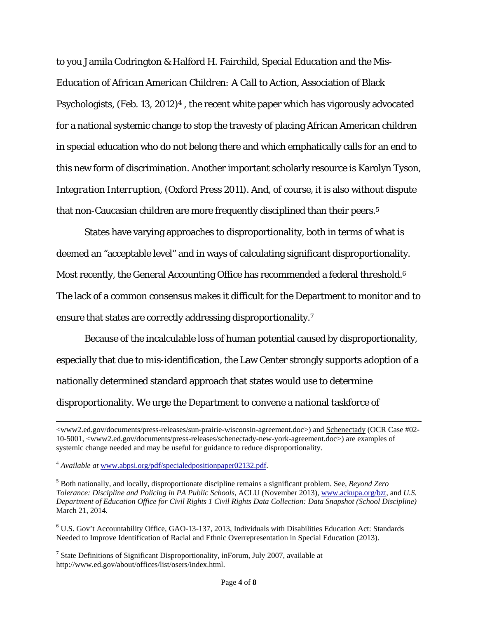to you Jamila Codrington & Halford H. Fairchild, *Special Education and the Mis-Education of African American Children: A Call to Action*, Association of Black Psychologists, (Feb. 13, 2012)4 , the recent white paper which has vigorously advocated for a national systemic change to stop the travesty of placing African American children in special education who do not belong there and which emphatically calls for an end to this new form of discrimination. Another important scholarly resource is Karolyn Tyson, *Integration Interruption*, (Oxford Press 2011). And, of course, it is also without dispute that non-Caucasian children are more frequently disciplined than their peers.5

States have varying approaches to disproportionality, both in terms of what is deemed an "acceptable level" and in ways of calculating significant disproportionality. Most recently, the General Accounting Office has recommended a federal threshold.<sup>6</sup> The lack of a common consensus makes it difficult for the Department to monitor and to ensure that states are correctly addressing disproportionality.7

Because of the incalculable loss of human potential caused by disproportionality, especially that due to mis-identification, the Law Center strongly supports adoption of a nationally determined standard approach that states would use to determine disproportionality. We urge the Department to convene a national taskforce of

 $\overline{a}$ 

<sup>&</sup>lt;www2.ed.gov/documents/press-releases/sun-prairie-wisconsin-agreement.doc>) and Schenectady (OCR Case #02-10-5001, <www2.ed.gov/documents/press-releases/schenectady-new-york-agreement.doc>) are examples of systemic change needed and may be useful for guidance to reduce disproportionality.

<sup>4</sup> *Available at* www.abpsi.org/pdf/specialedpositionpaper02132.pdf.

<sup>5</sup> Both nationally, and locally, disproportionate discipline remains a significant problem. See, *Beyond Zero Tolerance: Discipline and Policing in PA Public Schools*, ACLU (November 2013), www.ackupa.org/bzt, and *U.S. Department of Education Office for Civil Rights 1 Civil Rights Data Collection: Data Snapshot (School Discipline)*  March 21, 2014*.* 

<sup>&</sup>lt;sup>6</sup> U.S. Gov't Accountability Office, GAO-13-137, 2013, Individuals with Disabilities Education Act: Standards Needed to Improve Identification of Racial and Ethnic Overrepresentation in Special Education (2013).

<sup>&</sup>lt;sup>7</sup> State Definitions of Significant Disproportionality, inForum, July 2007, available at http://www.ed.gov/about/offices/list/osers/index.html.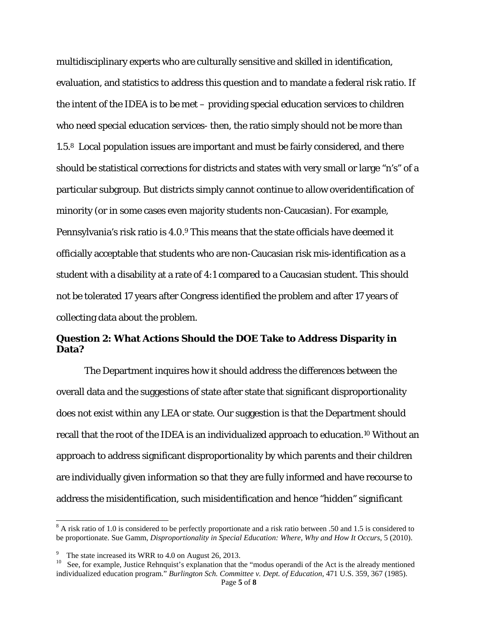multidisciplinary experts who are culturally sensitive and skilled in identification, evaluation, and statistics to address this question and to mandate a federal risk ratio. If the intent of the IDEA is to be met – providing special education services to children who need special education services- then, the ratio simply should not be more than 1.5.8 Local population issues are important and must be fairly considered, and there should be statistical corrections for districts and states with very small or large "n's" of a particular subgroup. But districts simply cannot continue to allow overidentification of minority (or in some cases even majority students non-Caucasian). For example, Pennsylvania's risk ratio is 4.0.9 This means that the state officials have deemed it officially acceptable that students who are non-Caucasian risk mis-identification as a student with a disability at a rate of 4:1 compared to a Caucasian student. This should not be tolerated 17 years after Congress identified the problem and after 17 years of collecting data about the problem.

#### **Question 2: What Actions Should the DOE Take to Address Disparity in Data?**

 The Department inquires how it should address the differences between the overall data and the suggestions of state after state that significant disproportionality does not exist within any LEA or state. Our suggestion is that the Department should recall that the root of the IDEA is an individualized approach to education.10 Without an approach to address significant disproportionality by which parents and their children are individually given information so that they are fully informed and have recourse to address the misidentification, such misidentification and hence "hidden" significant

l

 $8$  A risk ratio of 1.0 is considered to be perfectly proportionate and a risk ratio between .50 and 1.5 is considered to be proportionate. Sue Gamm, *Disproportionality in Special Education: Where, Why and How It Occurs*, 5 (2010).

<sup>9</sup>

<sup>&</sup>lt;sup>9</sup> The state increased its WRR to 4.0 on August 26, 2013.<br><sup>10</sup> See, for example, Justice Rehnquist's explanation that the "modus operandi of the Act is the already mentioned individualized education program." *Burlington Sch. Committee v. Dept. of Education*, 471 U.S. 359, 367 (1985).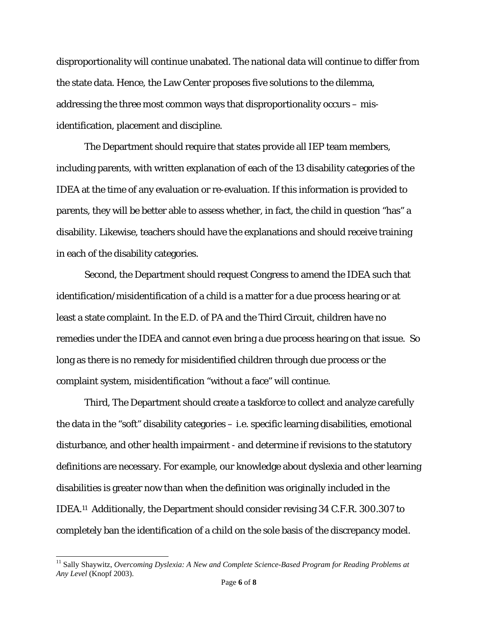disproportionality will continue unabated. The national data will continue to differ from the state data. Hence, the Law Center proposes five solutions to the dilemma, addressing the three most common ways that disproportionality occurs – misidentification, placement and discipline.

The Department should require that states provide all IEP team members, including parents, with written explanation of each of the 13 disability categories of the IDEA at the time of any evaluation or re-evaluation. If this information is provided to parents, they will be better able to assess whether, in fact, the child in question "has" a disability. Likewise, teachers should have the explanations and should receive training in each of the disability categories.

Second, the Department should request Congress to amend the IDEA such that identification/misidentification of a child is a matter for a due process hearing or at least a state complaint. In the E.D. of PA and the Third Circuit, children have no remedies under the IDEA and cannot even bring a due process hearing on that issue. So long as there is no remedy for misidentified children through due process or the complaint system, misidentification "without a face" will continue.

Third, The Department should create a taskforce to collect and analyze carefully the data in the "soft" disability categories – i.e. specific learning disabilities, emotional disturbance, and other health impairment - and determine if revisions to the statutory definitions are necessary. For example, our knowledge about dyslexia and other learning disabilities is greater now than when the definition was originally included in the IDEA.11 Additionally, the Department should consider revising 34 C.F.R. 300.307 to completely ban the identification of a child on the sole basis of the discrepancy model.

 $\overline{a}$ 

<sup>&</sup>lt;sup>11</sup> Sally Shaywitz, *Overcoming Dyslexia: A New and Complete Science-Based Program for Reading Problems at Any Level* (Knopf 2003).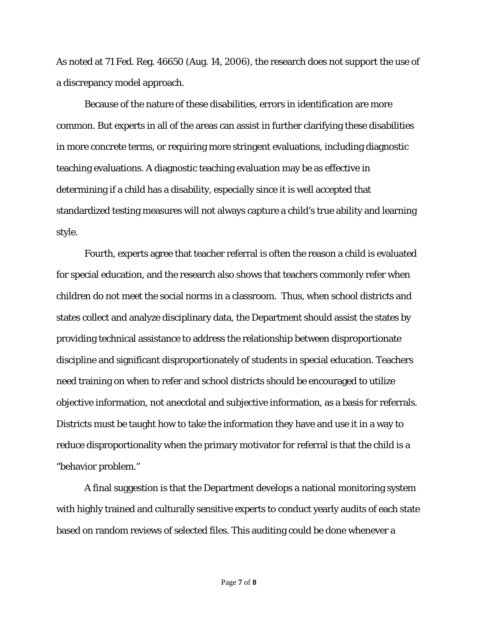As noted at 71 Fed. Reg. 46650 (Aug. 14, 2006), the research does not support the use of a discrepancy model approach.

Because of the nature of these disabilities, errors in identification are more common. But experts in all of the areas can assist in further clarifying these disabilities in more concrete terms, or requiring more stringent evaluations, including diagnostic teaching evaluations. A diagnostic teaching evaluation may be as effective in determining if a child has a disability, especially since it is well accepted that standardized testing measures will not always capture a child's true ability and learning style.

Fourth, experts agree that teacher referral is often the reason a child is evaluated for special education, and the research also shows that teachers commonly refer when children do not meet the social norms in a classroom. Thus, when school districts and states collect and analyze disciplinary data, the Department should assist the states by providing technical assistance to address the relationship between disproportionate discipline and significant disproportionately of students in special education. Teachers need training on when to refer and school districts should be encouraged to utilize objective information, not anecdotal and subjective information, as a basis for referrals. Districts must be taught how to take the information they have and use it in a way to reduce disproportionality when the primary motivator for referral is that the child is a "behavior problem."

A final suggestion is that the Department develops a national monitoring system with highly trained and culturally sensitive experts to conduct yearly audits of each state based on random reviews of selected files. This auditing could be done whenever a